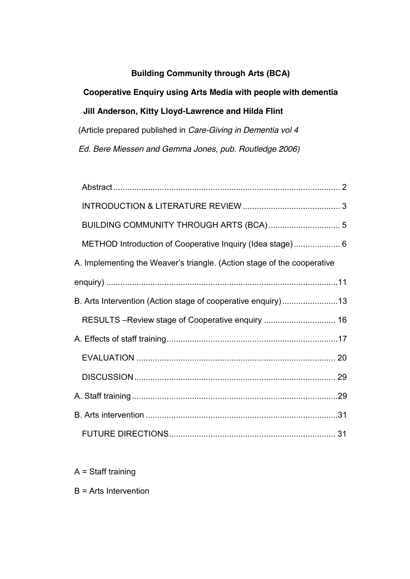## **Building Community through Arts (BCA)**

# **Cooperative Enquiry using Arts Media with people with dementia**

## **Jill Anderson, Kitty Lloyd-Lawrence and Hilda Flint**

(Article prepared published in *Care-Giving in Dementia vol 4*

*Ed. Bere Miessen and Gemma Jones, pub. Routledge 2006)*

| BUILDING COMMUNITY THROUGH ARTS (BCA) 5                                 |  |
|-------------------------------------------------------------------------|--|
| METHOD Introduction of Cooperative Inquiry (Idea stage) 6               |  |
| A. Implementing the Weaver's triangle. (Action stage of the cooperative |  |
|                                                                         |  |
| B. Arts Intervention (Action stage of cooperative enquiry)13            |  |
|                                                                         |  |
|                                                                         |  |
|                                                                         |  |
|                                                                         |  |
|                                                                         |  |
|                                                                         |  |
|                                                                         |  |

## A = Staff training

B = Arts Intervention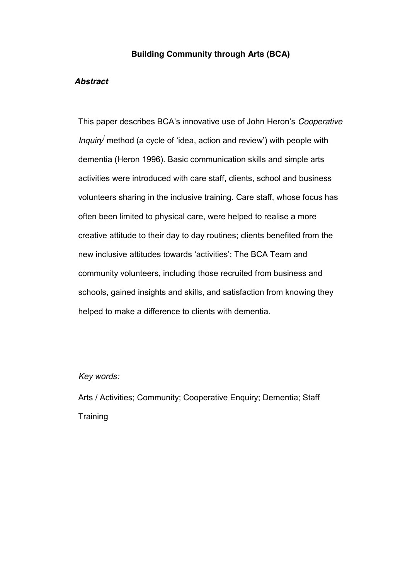### **Building Community through Arts (BCA)**

#### <span id="page-1-0"></span>*Abstract*

This paper describes BCA's innovative use of John Heron's *Cooperative*  Inquiry<sup>j</sup> method (a cycle of 'idea, action and review') with people with dementia (Heron 1996). Basic communication skills and simple arts activities were introduced with care staff, clients, school and business volunteers sharing in the inclusive training. Care staff, whose focus has often been limited to physical care, were helped to realise a more creative attitude to their day to day routines; clients benefited from the new inclusive attitudes towards 'activities'; The BCA Team and community volunteers, including those recruited from business and schools, gained insights and skills, and satisfaction from knowing they helped to make a difference to clients with dementia.

#### *Key words:*

Arts / Activities; Community; Cooperative Enquiry; Dementia; Staff **Training**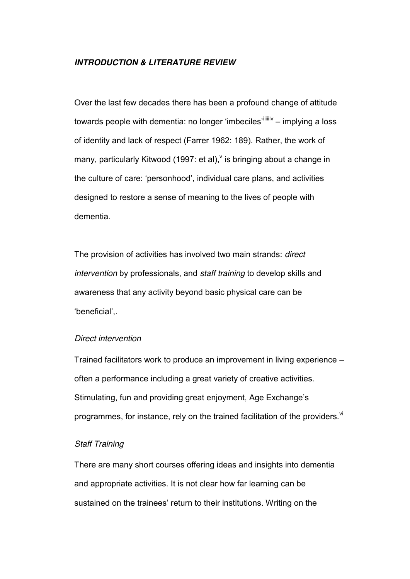#### <span id="page-2-0"></span>*INTRODUCTION & LITERATURE REVIEW*

Over the last few decades there has been a profound change of attitude towards people with dementia: no longer 'imbeciles'<sup>iiiiiiv</sup> – implying a loss of identity and lack of respect (Farrer 1962: 189). Rather, the work of many, particularly Kitwood (1997: et al), is bringing about a change in the culture of care: 'personhood', individual care plans, and activities designed to restore a sense of meaning to the lives of people with dementia.

The provision of activities has involved two main strands: *direct intervention* by professionals, and *staff training* to develop skills and awareness that any activity beyond basic physical care can be 'beneficial',.

#### *Direct intervention*

Trained facilitators work to produce an improvement in living experience – often a performance including a great variety of creative activities. Stimulating, fun and providing great enjoyment, Age Exchange's programmes, for instance, rely on the trained facilitation of the providers. Vi

#### *Staff Training*

There are many short courses offering ideas and insights into dementia and appropriate activities. It is not clear how far learning can be sustained on the trainees' return to their institutions. Writing on the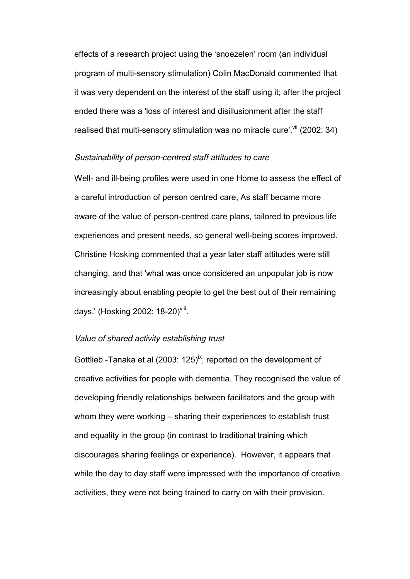effects of a research project using the 'snoezelen' room (an individual program of multi-sensory stimulation) Colin MacDonald commented that it was very dependent on the interest of the staff using it; after the project ended there was a 'loss of interest and disillusionment after the staff realised that multi-sensory stimulation was no miracle cure'. $\frac{v}{v}$  (2002: 34)

#### *Sustainability of person-centred staff attitudes to care*

Well- and ill-being profiles were used in one Home to assess the effect of a careful introduction of person centred care, As staff became more aware of the value of person-centred care plans, tailored to previous life experiences and present needs, so general well-being scores improved. Christine Hosking commented that a year later staff attitudes were still changing, and that 'what was once considered an unpopular job is now increasingly about enabling people to get the best out of their remaining days.' (Hosking 2002: 18-20)<sup>viii</sup>.

#### *Value of shared activity establishing trust*

Gottlieb -Tanaka et al  $(2003: 125)^{ix}$ , reported on the development of creative activities for people with dementia. They recognised the value of developing friendly relationships between facilitators and the group with whom they were working – sharing their experiences to establish trust and equality in the group (in contrast to traditional training which discourages sharing feelings or experience). However, it appears that while the day to day staff were impressed with the importance of creative activities, they were not being trained to carry on with their provision.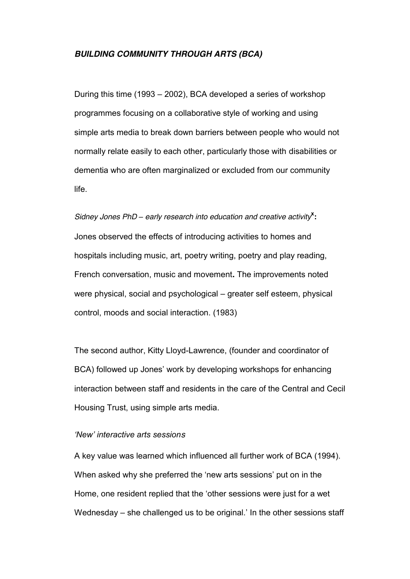#### <span id="page-4-0"></span>*BUILDING COMMUNITY THROUGH ARTS (BCA)*

During this time (1993 – 2002), BCA developed a series of workshop programmes focusing on a collaborative style of working and using simple arts media to break down barriers between people who would not normally relate easily to each other, particularly those with disabilities or dementia who are often marginalized or excluded from our community life.

Sidney Jones PhD – early research into education and creative activity<sup>x</sup>: Jones observed the effects of introducing activities to homes and hospitals including music, art, poetry writing, poetry and play reading, French conversation, music and movement**.** The improvements noted were physical, social and psychological – greater self esteem, physical control, moods and social interaction. (1983)

The second author, Kitty Lloyd-Lawrence, (founder and coordinator of BCA) followed up Jones' work by developing workshops for enhancing interaction between staff and residents in the care of the Central and Cecil Housing Trust, using simple arts media.

#### *'New' interactive arts sessions*

A key value was learned which influenced all further work of BCA (1994). When asked why she preferred the 'new arts sessions' put on in the Home, one resident replied that the 'other sessions were just for a wet Wednesday – she challenged us to be original.' In the other sessions staff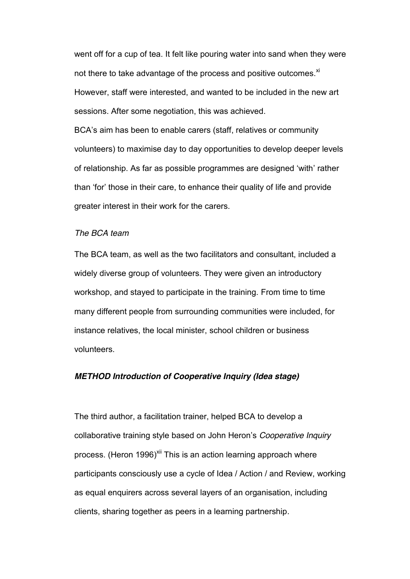went off for a cup of tea. It felt like pouring water into sand when they were not there to take advantage of the process and positive outcomes.<sup>xi</sup> However, staff were interested, and wanted to be included in the new art sessions. After some negotiation, this was achieved.

BCA's aim has been to enable carers (staff, relatives or community volunteers) to maximise day to day opportunities to develop deeper levels of relationship. As far as possible programmes are designed 'with' rather than 'for' those in their care, to enhance their quality of life and provide greater interest in their work for the carers.

#### *The BCA team*

The BCA team, as well as the two facilitators and consultant, included a widely diverse group of volunteers. They were given an introductory workshop, and stayed to participate in the training. From time to time many different people from surrounding communities were included, for instance relatives, the local minister, school children or business volunteers.

#### <span id="page-5-0"></span>*METHOD Introduction of Cooperative Inquiry (Idea stage)*

The third author, a facilitation trainer, helped BCA to develop a collaborative training style based on John Heron's *Cooperative Inquiry*  process. (Heron 1996)<sup>xii</sup> This is an action learning approach where participants consciously use a cycle of Idea / Action / and Review, working as equal enquirers across several layers of an organisation, including clients, sharing together as peers in a learning partnership*.*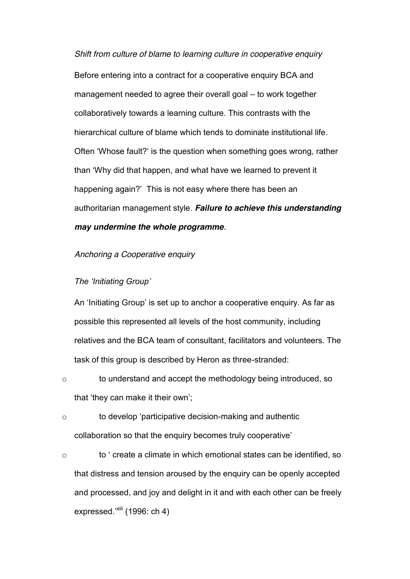*Shift from culture of blame to learning culture in cooperative enquiry*

Before entering into a contract for a cooperative enquiry BCA and management needed to agree their overall goal – to work together collaboratively towards a learning culture. This contrasts with the hierarchical culture of blame which tends to dominate institutional life. Often 'Whose fault?' is the question when something goes wrong, rather than 'Why did that happen, and what have we learned to prevent it happening again?' This is not easy where there has been an authoritarian management style. *Failure to achieve this understanding may undermine the whole programme.*

#### *Anchoring a Cooperative enquiry*

#### *The 'Initiating Group'*

An 'Initiating Group' is set up to anchor a cooperative enquiry. As far as possible this represented all levels of the host community, including relatives and the BCA team of consultant, facilitators and volunteers. The task of this group is described by Heron as three-stranded:

o to understand and accept the methodology being introduced, so that 'they can make it their own';

o to develop 'participative decision-making and authentic collaboration so that the enquiry becomes truly cooperative'

 $\circ$  to ' create a climate in which emotional states can be identified, so that distress and tension aroused by the enquiry can be openly accepted and processed, and joy and delight in it and with each other can be freely expressed.'<sup>xiii</sup> (1996: ch 4)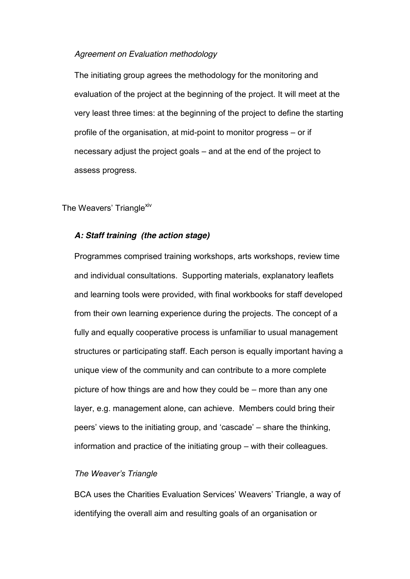#### *Agreement on Evaluation methodology*

The initiating group agrees the methodology for the monitoring and evaluation of the project at the beginning of the project. It will meet at the very least three times: at the beginning of the project to define the starting profile of the organisation, at mid-point to monitor progress – or if necessary adjust the project goals – and at the end of the project to assess progress.

## The Weavers' Triangle<sup>xiv</sup>

#### *A: Staff training (the action stage)*

Programmes comprised training workshops, arts workshops, review time and individual consultations. Supporting materials, explanatory leaflets and learning tools were provided, with final workbooks for staff developed from their own learning experience during the projects. The concept of a fully and equally cooperative process is unfamiliar to usual management structures or participating staff. Each person is equally important having a unique view of the community and can contribute to a more complete picture of how things are and how they could be – more than any one layer, e.g. management alone, can achieve. Members could bring their peers' views to the initiating group, and 'cascade' – share the thinking, information and practice of the initiating group – with their colleagues.

#### *The Weaver's Triangle*

BCA uses the Charities Evaluation Services' Weavers' Triangle, a way of identifying the overall aim and resulting goals of an organisation or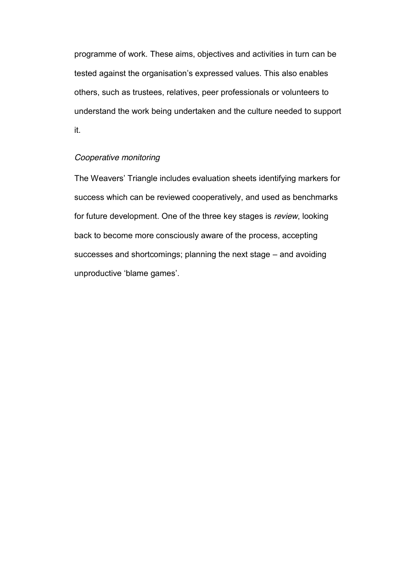programme of work. These aims, objectives and activities in turn can be tested against the organisation's expressed values. This also enables others, such as trustees, relatives, peer professionals or volunteers to understand the work being undertaken and the culture needed to support it.

#### *Cooperative monitoring*

The Weavers' Triangle includes evaluation sheets identifying markers for success which can be reviewed cooperatively, and used as benchmarks for future development. One of the three key stages is *review*, looking back to become more consciously aware of the process, accepting successes and shortcomings; planning the next stage – and avoiding unproductive 'blame games'.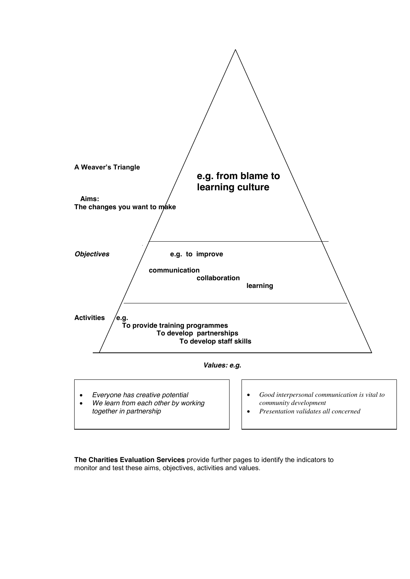

- x *We learn from each other by working together in partnership*
- x *Good interpersonal communication is vital to community development*
- x *Presentation validates all concerned*

<span id="page-9-0"></span>**The Charities Evaluation Services** provide further pages to identify the indicators to monitor and test these aims, objectives, activities and values.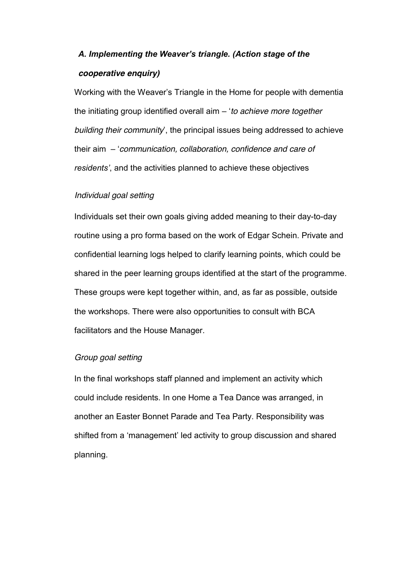## *A. Implementing the Weaver's triangle. (Action stage of the cooperative enquiry)*

Working with the Weaver's Triangle in the Home for people with dementia the initiating group identified overall aim – '*to achieve more together building their community*', the principal issues being addressed to achieve their aim – '*communication, collaboration, confidence and care of residents'*, and the activities planned to achieve these objectives

## *Individual goal setting*

Individuals set their own goals giving added meaning to their day-to-day routine using a pro forma based on the work of Edgar Schein. Private and confidential learning logs helped to clarify learning points, which could be shared in the peer learning groups identified at the start of the programme. These groups were kept together within, and, as far as possible, outside the workshops. There were also opportunities to consult with BCA facilitators and the House Manager.

#### *Group goal setting*

In the final workshops staff planned and implement an activity which could include residents. In one Home a Tea Dance was arranged, in another an Easter Bonnet Parade and Tea Party. Responsibility was shifted from a 'management' led activity to group discussion and shared planning.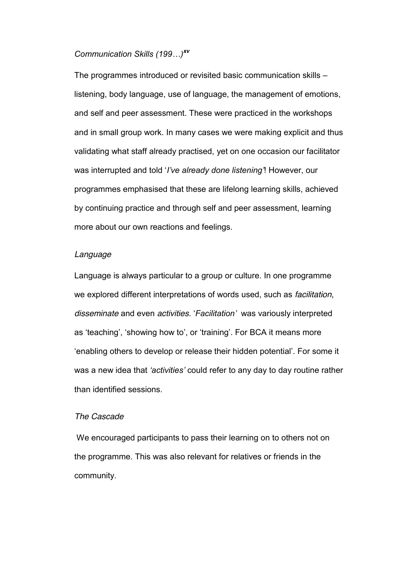## *Communication Skills (199…)xv*

The programmes introduced or revisited basic communication skills – listening, body language, use of language, the management of emotions, and self and peer assessment. These were practiced in the workshops and in small group work. In many cases we were making explicit and thus validating what staff already practised, yet on one occasion our facilitator was interrupted and told '*I've already done listening'*! However, our programmes emphasised that these are lifelong learning skills, achieved by continuing practice and through self and peer assessment, learning more about our own reactions and feelings.

#### *Language*

Language is always particular to a group or culture. In one programme we explored different interpretations of words used, such as *facilitation, disseminate* and even *activities*. '*Facilitation'* was variously interpreted as 'teaching', 'showing how to', or 'training'. For BCA it means more 'enabling others to develop or release their hidden potential'. For some it was a new idea that *'activities'* could refer to any day to day routine rather than identified sessions.

## *The Cascade*

We encouraged participants to pass their learning on to others not on the programme. This was also relevant for relatives or friends in the community.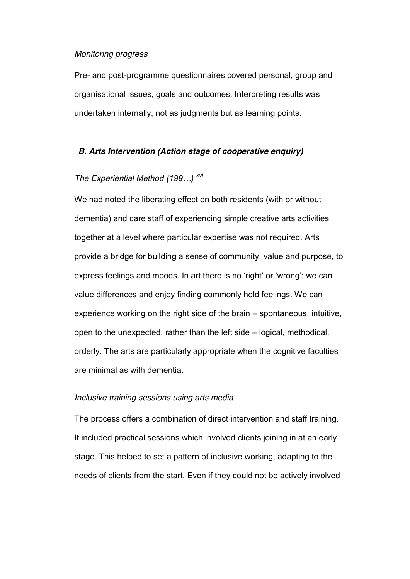#### *Monitoring progress*

Pre- and post-programme questionnaires covered personal, group and organisational issues, goals and outcomes. Interpreting results was undertaken internally, not as judgments but as learning points.

#### <span id="page-12-0"></span>*B. Arts Intervention (Action stage of cooperative enquiry)*

## *The Experiential Method (199…) xvi*

We had noted the liberating effect on both residents (with or without dementia) and care staff of experiencing simple creative arts activities together at a level where particular expertise was not required. Arts provide a bridge for building a sense of community, value and purpose, to express feelings and moods. In art there is no 'right' or 'wrong'; we can value differences and enjoy finding commonly held feelings. We can experience working on the right side of the brain – spontaneous, intuitive, open to the unexpected, rather than the left side – logical, methodical, orderly. The arts are particularly appropriate when the cognitive faculties are minimal as with dementia.

#### *Inclusive training sessions using arts media*

The process offers a combination of direct intervention and staff training. It included practical sessions which involved clients joining in at an early stage. This helped to set a pattern of inclusive working, adapting to the needs of clients from the start. Even if they could not be actively involved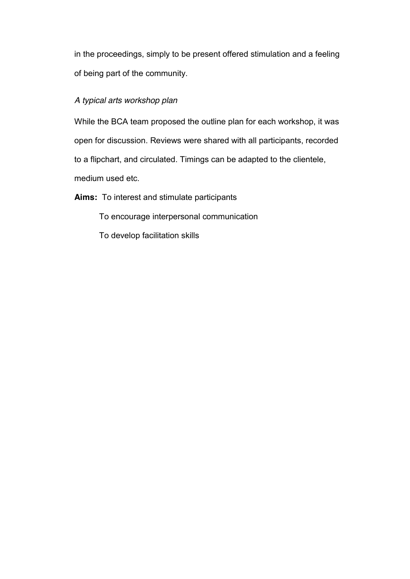in the proceedings, simply to be present offered stimulation and a feeling of being part of the community.

## *A typical arts workshop plan*

While the BCA team proposed the outline plan for each workshop, it was open for discussion. Reviews were shared with all participants, recorded to a flipchart, and circulated. Timings can be adapted to the clientele, medium used etc.

**Aims:** To interest and stimulate participants

To encourage interpersonal communication

To develop facilitation skills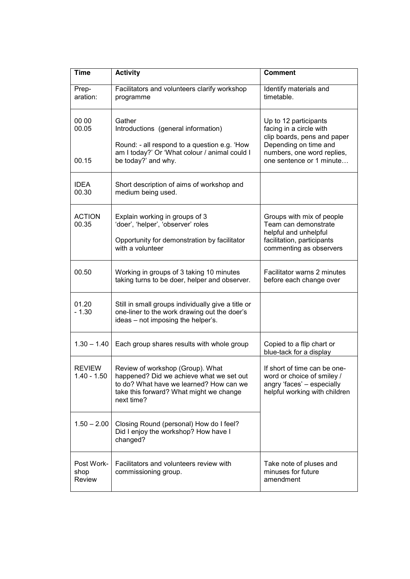| <b>Time</b>                         | <b>Activity</b>                                                                                                                                                                  | <b>Comment</b>                                                                                                                                                     |
|-------------------------------------|----------------------------------------------------------------------------------------------------------------------------------------------------------------------------------|--------------------------------------------------------------------------------------------------------------------------------------------------------------------|
| Prep-<br>aration:                   | Facilitators and volunteers clarify workshop<br>programme                                                                                                                        | Identify materials and<br>timetable.                                                                                                                               |
| 00 00<br>00.05<br>00.15             | Gather<br>Introductions (general information)<br>Round: - all respond to a question e.g. 'How<br>am I today?' Or 'What colour / animal could I<br>be today?' and why.            | Up to 12 participants<br>facing in a circle with<br>clip boards, pens and paper<br>Depending on time and<br>numbers, one word replies,<br>one sentence or 1 minute |
| <b>IDEA</b><br>00.30                | Short description of aims of workshop and<br>medium being used.                                                                                                                  |                                                                                                                                                                    |
| <b>ACTION</b><br>00.35              | Explain working in groups of 3<br>'doer', 'helper', 'observer' roles<br>Opportunity for demonstration by facilitator<br>with a volunteer                                         | Groups with mix of people<br>Team can demonstrate<br>helpful and unhelpful<br>facilitation, participants<br>commenting as observers                                |
| 00.50                               | Working in groups of 3 taking 10 minutes<br>taking turns to be doer, helper and observer.                                                                                        | Facilitator warns 2 minutes<br>before each change over                                                                                                             |
| 01.20<br>$-1.30$                    | Still in small groups individually give a title or<br>one-liner to the work drawing out the doer's<br>ideas - not imposing the helper's.                                         |                                                                                                                                                                    |
| $1.30 - 1.40$                       | Each group shares results with whole group                                                                                                                                       | Copied to a flip chart or<br>blue-tack for a display                                                                                                               |
| <b>REVIEW</b><br>1.40 - 1.50        | Review of workshop (Group). What<br>happened? Did we achieve what we set out<br>to do? What have we learned? How can we<br>take this forward? What might we change<br>next time? | If short of time can be one-<br>word or choice of smiley /<br>angry 'faces' - especially<br>helpful working with children                                          |
| $1.50 - 2.00$                       | Closing Round (personal) How do I feel?<br>Did I enjoy the workshop? How have I<br>changed?                                                                                      |                                                                                                                                                                    |
| Post Work-<br>shop<br><b>Review</b> | Facilitators and volunteers review with<br>commissioning group.                                                                                                                  | Take note of pluses and<br>minuses for future<br>amendment                                                                                                         |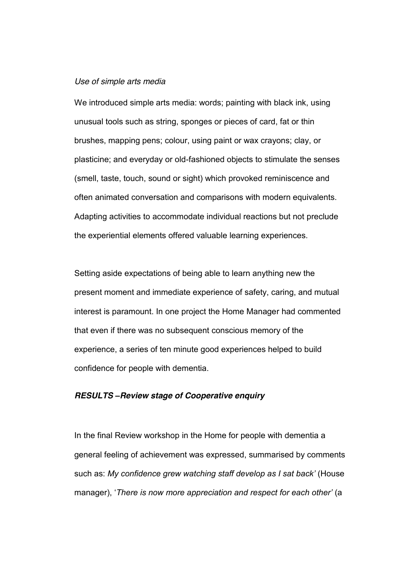#### *Use of simple arts media*

We introduced simple arts media: words: painting with black ink, using unusual tools such as string, sponges or pieces of card, fat or thin brushes, mapping pens; colour, using paint or wax crayons; clay, or plasticine; and everyday or old-fashioned objects to stimulate the senses (smell, taste, touch, sound or sight) which provoked reminiscence and often animated conversation and comparisons with modern equivalents. Adapting activities to accommodate individual reactions but not preclude the experiential elements offered valuable learning experiences.

Setting aside expectations of being able to learn anything new the present moment and immediate experience of safety, caring, and mutual interest is paramount. In one project the Home Manager had commented that even if there was no subsequent conscious memory of the experience, a series of ten minute good experiences helped to build confidence for people with dementia.

#### <span id="page-15-0"></span>*RESULTS –Review stage of Cooperative enquiry*

In the final Review workshop in the Home for people with dementia a general feeling of achievement was expressed, summarised by comments such as: *My confidence grew watching staff develop as I sat back'* (House manager), '*There is now more appreciation and respect for each other'* (a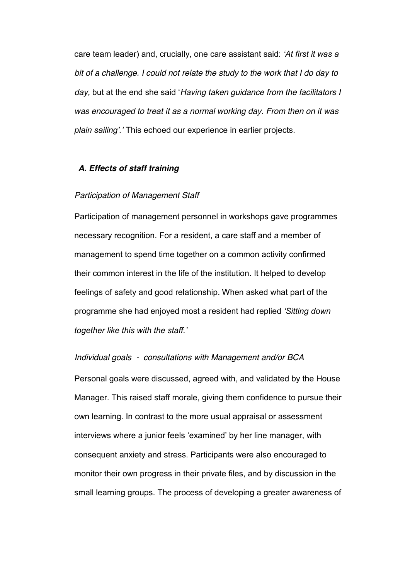care team leader) and, crucially, one care assistant said: *'At first it was a bit of a challenge. I could not relate the study to the work that I do day to day,* but at the end she said '*Having taken guidance from the facilitators I was encouraged to treat it as a normal working day. From then on it was plain sailing'.'* This echoed our experience in earlier projects.

#### <span id="page-16-0"></span>*A. Effects of staff training*

#### *Participation of Management Staff*

Participation of management personnel in workshops gave programmes necessary recognition. For a resident, a care staff and a member of management to spend time together on a common activity confirmed their common interest in the life of the institution. It helped to develop feelings of safety and good relationship. When asked what part of the programme she had enjoyed most a resident had replied *'Sitting down together like this with the staff.'* 

#### *Individual goals - consultations with Management and/or BCA*

Personal goals were discussed, agreed with, and validated by the House Manager. This raised staff morale, giving them confidence to pursue their own learning. In contrast to the more usual appraisal or assessment interviews where a junior feels 'examined' by her line manager, with consequent anxiety and stress. Participants were also encouraged to monitor their own progress in their private files, and by discussion in the small learning groups. The process of developing a greater awareness of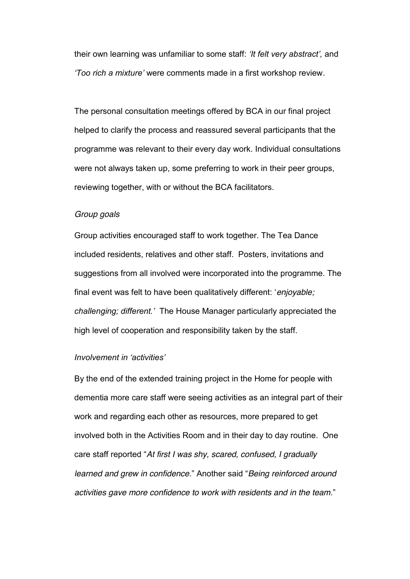their own learning was unfamiliar to some staff: *'It felt very abstract',* and *'Too rich a mixture'* were comments made in a first workshop review*.*

The personal consultation meetings offered by BCA in our final project helped to clarify the process and reassured several participants that the programme was relevant to their every day work. Individual consultations were not always taken up, some preferring to work in their peer groups, reviewing together, with or without the BCA facilitators.

#### *Group goals*

Group activities encouraged staff to work together. The Tea Dance included residents, relatives and other staff. Posters, invitations and suggestions from all involved were incorporated into the programme. The final event was felt to have been qualitatively different: '*enjoyable; challenging; different.'* The House Manager particularly appreciated the high level of cooperation and responsibility taken by the staff.

#### *Involvement in 'activities'*

By the end of the extended training project in the Home for people with dementia more care staff were seeing activities as an integral part of their work and regarding each other as resources, more prepared to get involved both in the Activities Room and in their day to day routine. One care staff reported "*At first I was shy, scared, confused, I gradually learned and grew in confidence*." Another said "*Being reinforced around activities gave more confidence to work with residents and in the team*."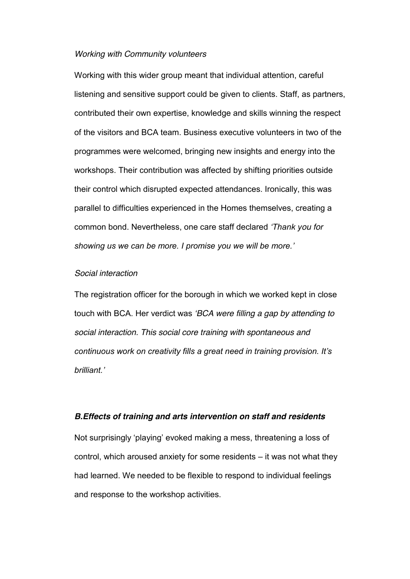#### *Working with Community volunteers*

Working with this wider group meant that individual attention, careful listening and sensitive support could be given to clients. Staff, as partners, contributed their own expertise, knowledge and skills winning the respect of the visitors and BCA team. Business executive volunteers in two of the programmes were welcomed, bringing new insights and energy into the workshops. Their contribution was affected by shifting priorities outside their control which disrupted expected attendances. Ironically, this was parallel to difficulties experienced in the Homes themselves, creating a common bond. Nevertheless, one care staff declared *'Thank you for showing us we can be more. I promise you we will be more.'* 

#### *Social interaction*

The registration officer for the borough in which we worked kept in close touch with BCA. Her verdict was *'BCA were filling a gap by attending to social interaction. This social core training with spontaneous and continuous work on creativity fills a great need in training provision. It's brilliant.'*

#### *B.Effects of training and arts intervention on staff and residents*

Not surprisingly 'playing' evoked making a mess, threatening a loss of control, which aroused anxiety for some residents – it was not what they had learned. We needed to be flexible to respond to individual feelings and response to the workshop activities.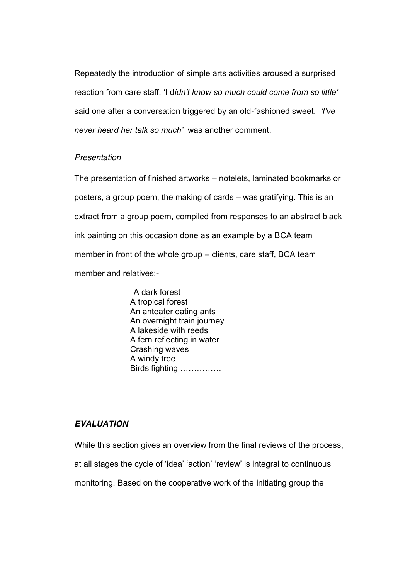Repeatedly the introduction of simple arts activities aroused a surprised reaction from care staff: 'I d*idn't know so much could come from so little'*  said one after a conversation triggered by an old-fashioned sweet. *'I've never heard her talk so much'* was another comment.

#### *Presentation*

The presentation of finished artworks – notelets, laminated bookmarks or posters, a group poem, the making of cards – was gratifying. This is an extract from a group poem, compiled from responses to an abstract black ink painting on this occasion done as an example by a BCA team member in front of the whole group – clients, care staff, BCA team member and relatives:-

> A dark forest A tropical forest An anteater eating ants An overnight train journey A lakeside with reeds A fern reflecting in water Crashing waves A windy tree Birds fighting ……………

## <span id="page-19-0"></span>*EVALUATION*

While this section gives an overview from the final reviews of the process,

at all stages the cycle of 'idea' 'action' 'review' is integral to continuous

monitoring. Based on the cooperative work of the initiating group the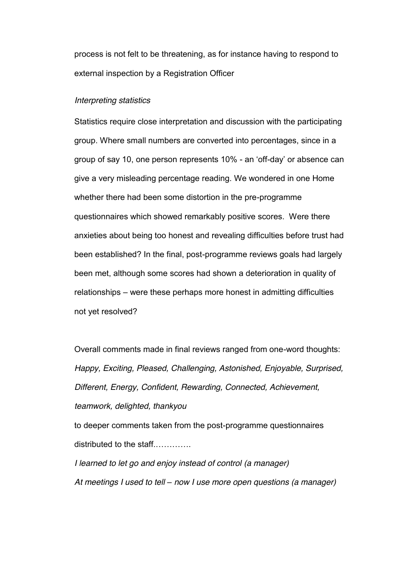process is not felt to be threatening, as for instance having to respond to external inspection by a Registration Officer

#### *Interpreting statistics*

Statistics require close interpretation and discussion with the participating group. Where small numbers are converted into percentages, since in a group of say 10, one person represents 10% - an 'off-day' or absence can give a very misleading percentage reading. We wondered in one Home whether there had been some distortion in the pre-programme questionnaires which showed remarkably positive scores. Were there anxieties about being too honest and revealing difficulties before trust had been established? In the final, post-programme reviews goals had largely been met, although some scores had shown a deterioration in quality of relationships – were these perhaps more honest in admitting difficulties not yet resolved?

Overall comments made in final reviews ranged from one-word thoughts: *Happy, Exciting, Pleased, Challenging, Astonished, Enjoyable, Surprised, Different, Energy, Confident, Rewarding, Connected, Achievement, teamwork, delighted, thankyou*

to deeper comments taken from the post-programme questionnaires distributed to the staff..............

*I learned to let go and enjoy instead of control (a manager) At meetings I used to tell – now I use more open questions (a manager)*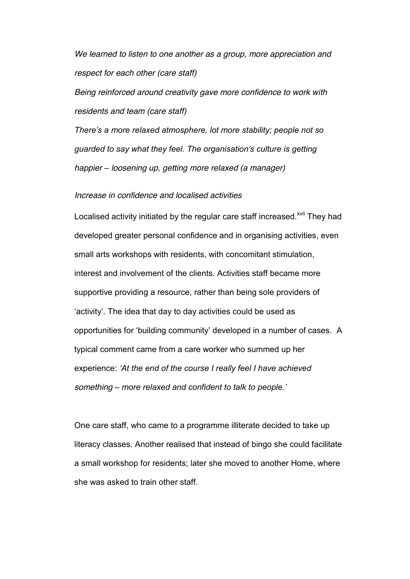*We learned to listen to one another as a group, more appreciation and respect for each other (care staff)*

*Being reinforced around creativity gave more confidence to work with residents and team (care staff)*

*There's a more relaxed atmosphere, lot more stability; people not so guarded to say what they feel. The organisation's culture is getting happier – loosening up, getting more relaxed (a manager)*

#### *Increase in confidence and localised activities*

Localised activity initiated by the regular care staff increased.<sup>xvii</sup> They had developed greater personal confidence and in organising activities, even small arts workshops with residents, with concomitant stimulation, interest and involvement of the clients. Activities staff became more supportive providing a resource, rather than being sole providers of 'activity'. The idea that day to day activities could be used as opportunities for 'building community' developed in a number of cases. A typical comment came from a care worker who summed up her experience: *'At the end of the course I really feel I have achieved something – more relaxed and confident to talk to people.'*

One care staff, who came to a programme illiterate decided to take up literacy classes. Another realised that instead of bingo she could facilitate a small workshop for residents; later she moved to another Home, where she was asked to train other staff.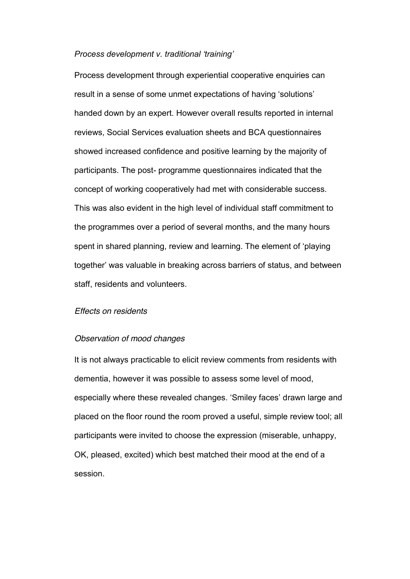#### *Process development v. traditional 'training'*

Process development through experiential cooperative enquiries can result in a sense of some unmet expectations of having 'solutions' handed down by an expert. However overall results reported in internal reviews, Social Services evaluation sheets and BCA questionnaires showed increased confidence and positive learning by the majority of participants. The post- programme questionnaires indicated that the concept of working cooperatively had met with considerable success. This was also evident in the high level of individual staff commitment to the programmes over a period of several months, and the many hours spent in shared planning, review and learning. The element of 'playing together' was valuable in breaking across barriers of status, and between staff, residents and volunteers.

#### *Effects on residents*

#### *Observation of mood changes*

It is not always practicable to elicit review comments from residents with dementia, however it was possible to assess some level of mood, especially where these revealed changes. 'Smiley faces' drawn large and placed on the floor round the room proved a useful, simple review tool; all participants were invited to choose the expression (miserable, unhappy, OK, pleased, excited) which best matched their mood at the end of a session.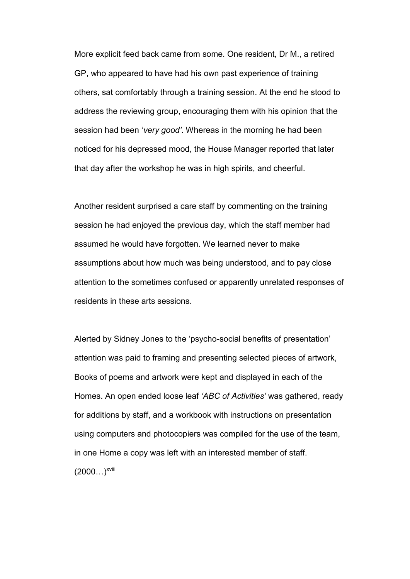More explicit feed back came from some. One resident, Dr M., a retired GP, who appeared to have had his own past experience of training others, sat comfortably through a training session. At the end he stood to address the reviewing group, encouraging them with his opinion that the session had been '*very good'*. Whereas in the morning he had been noticed for his depressed mood, the House Manager reported that later that day after the workshop he was in high spirits, and cheerful.

Another resident surprised a care staff by commenting on the training session he had enjoyed the previous day, which the staff member had assumed he would have forgotten. We learned never to make assumptions about how much was being understood, and to pay close attention to the sometimes confused or apparently unrelated responses of residents in these arts sessions.

Alerted by Sidney Jones to the 'psycho-social benefits of presentation' attention was paid to framing and presenting selected pieces of artwork, Books of poems and artwork were kept and displayed in each of the Homes. An open ended loose leaf *'ABC of Activities'* was gathered, ready for additions by staff, and a workbook with instructions on presentation using computers and photocopiers was compiled for the use of the team, in one Home a copy was left with an interested member of staff.  $(2000...)^{x}$ <sup>xviii</sup>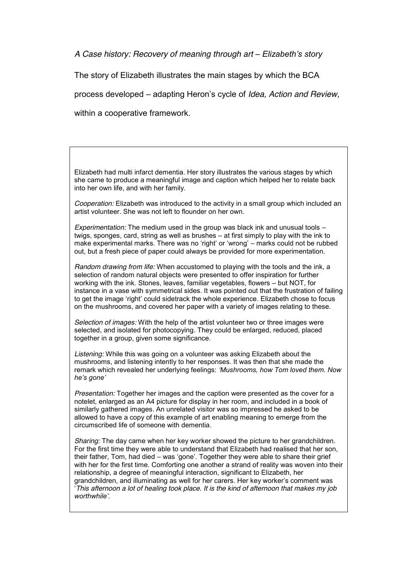*A Case history: Recovery of meaning through art – Elizabeth's story* 

The story of Elizabeth illustrates the main stages by which the BCA

process developed – adapting Heron's cycle of *Idea, Action and Review,* 

within a cooperative framework.

Elizabeth had multi infarct dementia. Her story illustrates the various stages by which she came to produce a meaningful image and caption which helped her to relate back into her own life, and with her family.

*Cooperation:* Elizabeth was introduced to the activity in a small group which included an artist volunteer. She was not left to flounder on her own.

*Experimentation:* The medium used in the group was black ink and unusual tools – twigs, sponges, card, string as well as brushes – at first simply to play with the ink to make experimental marks. There was no 'right' or 'wrong' – marks could not be rubbed out, but a fresh piece of paper could always be provided for more experimentation.

*Random drawing from life:* When accustomed to playing with the tools and the ink, a selection of random natural objects were presented to offer inspiration for further working with the ink. Stones, leaves, familiar vegetables, flowers – but NOT, for instance in a vase with symmetrical sides. It was pointed out that the frustration of failing to get the image 'right' could sidetrack the whole experience. Elizabeth chose to focus on the mushrooms, and covered her paper with a variety of images relating to these.

*Selection of images:* With the help of the artist volunteer two or three images were selected, and isolated for photocopying. They could be enlarged, reduced, placed together in a group, given some significance.

*Listening:* While this was going on a volunteer was asking Elizabeth about the mushrooms, and listening intently to her responses. It was then that she made the remark which revealed her underlying feelings: *'Mushrooms, how Tom loved them. Now he's gone'*

*Presentation:* Together her images and the caption were presented as the cover for a notelet, enlarged as an A4 picture for display in her room, and included in a book of similarly gathered images. An unrelated visitor was so impressed he asked to be allowed to have a copy of this example of art enabling meaning to emerge from the circumscribed life of someone with dementia.

*Sharing:* The day came when her key worker showed the picture to her grandchildren. For the first time they were able to understand that Elizabeth had realised that her son, their father, Tom, had died – was 'gone'. Together they were able to share their grief with her for the first time. Comforting one another a strand of reality was woven into their relationship, a degree of meaningful interaction, significant to Elizabeth, her grandchildren, and illuminating as well for her carers. Her key worker's comment was '*This afternoon a lot of healing took place. It is the kind of afternoon that makes my job worthwhile'.*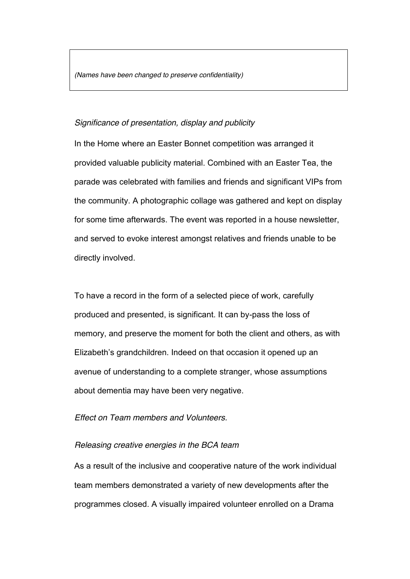*(Names have been changed to preserve confidentiality)*

#### *Significance of presentation, display and publicity*

In the Home where an Easter Bonnet competition was arranged it provided valuable publicity material. Combined with an Easter Tea, the parade was celebrated with families and friends and significant VIPs from the community. A photographic collage was gathered and kept on display for some time afterwards. The event was reported in a house newsletter, and served to evoke interest amongst relatives and friends unable to be directly involved.

To have a record in the form of a selected piece of work, carefully produced and presented, is significant. It can by-pass the loss of memory, and preserve the moment for both the client and others, as with Elizabeth's grandchildren. Indeed on that occasion it opened up an avenue of understanding to a complete stranger, whose assumptions about dementia may have been very negative.

## *Effect on Team members and Volunteers.*

#### *Releasing creative energies in the BCA team*

As a result of the inclusive and cooperative nature of the work individual team members demonstrated a variety of new developments after the programmes closed. A visually impaired volunteer enrolled on a Drama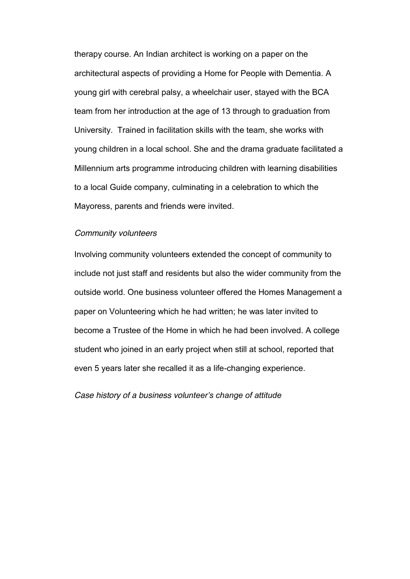therapy course. An Indian architect is working on a paper on the architectural aspects of providing a Home for People with Dementia. A young girl with cerebral palsy, a wheelchair user, stayed with the BCA team from her introduction at the age of 13 through to graduation from University. Trained in facilitation skills with the team, she works with young children in a local school. She and the drama graduate facilitated a Millennium arts programme introducing children with learning disabilities to a local Guide company, culminating in a celebration to which the Mayoress, parents and friends were invited.

#### *Community volunteers*

Involving community volunteers extended the concept of community to include not just staff and residents but also the wider community from the outside world. One business volunteer offered the Homes Management a paper on Volunteering which he had written; he was later invited to become a Trustee of the Home in which he had been involved. A college student who joined in an early project when still at school, reported that even 5 years later she recalled it as a life-changing experience.

*Case history of a business volunteer's change of attitude*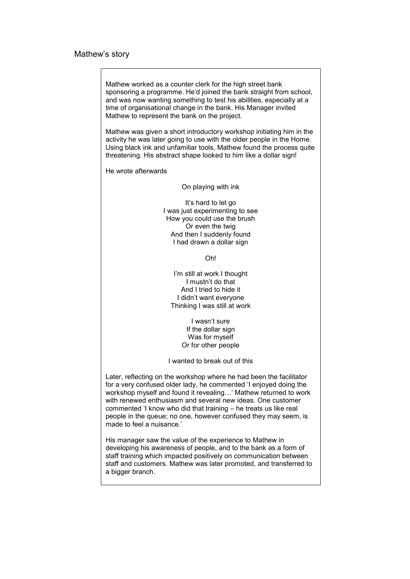#### Mathew's story

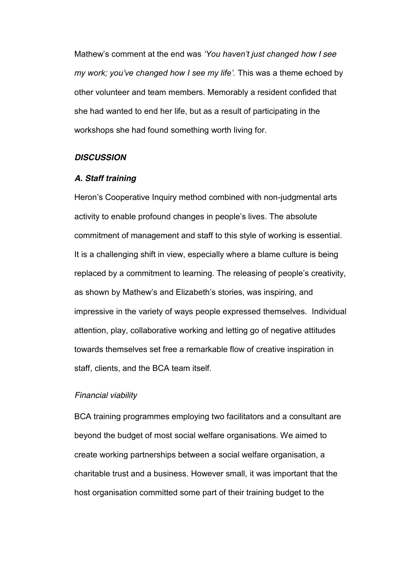Mathew's comment at the end was *'You haven't just changed how I see my work; you've changed how I see my life'.* This was a theme echoed by other volunteer and team members. Memorably a resident confided that she had wanted to end her life, but as a result of participating in the workshops she had found something worth living for.

#### <span id="page-28-0"></span>*DISCUSSION*

#### <span id="page-28-1"></span>*A. Staff training*

Heron's Cooperative Inquiry method combined with non-judgmental arts activity to enable profound changes in people's lives. The absolute commitment of management and staff to this style of working is essential. It is a challenging shift in view, especially where a blame culture is being replaced by a commitment to learning. The releasing of people's creativity, as shown by Mathew's and Elizabeth's stories, was inspiring, and impressive in the variety of ways people expressed themselves. Individual attention, play, collaborative working and letting go of negative attitudes towards themselves set free a remarkable flow of creative inspiration in staff, clients, and the BCA team itself.

#### *Financial viability*

BCA training programmes employing two facilitators and a consultant are beyond the budget of most social welfare organisations. We aimed to create working partnerships between a social welfare organisation, a charitable trust and a business. However small, it was important that the host organisation committed some part of their training budget to the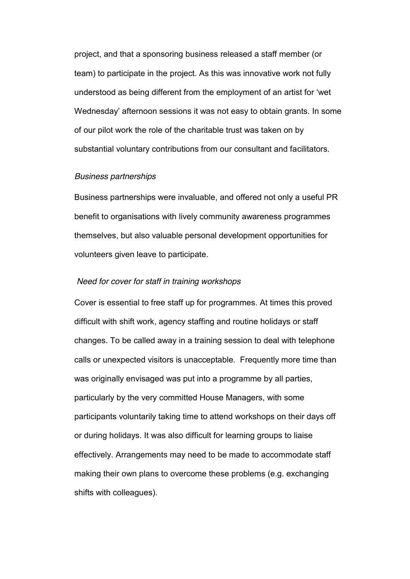project, and that a sponsoring business released a staff member (or team) to participate in the project. As this was innovative work not fully understood as being different from the employment of an artist for 'wet Wednesday' afternoon sessions it was not easy to obtain grants. In some of our pilot work the role of the charitable trust was taken on by substantial voluntary contributions from our consultant and facilitators.

#### *Business partnerships*

Business partnerships were invaluable, and offered not only a useful PR benefit to organisations with lively community awareness programmes themselves, but also valuable personal development opportunities for volunteers given leave to participate.

#### *Need for cover for staff in training workshops*

Cover is essential to free staff up for programmes. At times this proved difficult with shift work, agency staffing and routine holidays or staff changes. To be called away in a training session to deal with telephone calls or unexpected visitors is unacceptable. Frequently more time than was originally envisaged was put into a programme by all parties, particularly by the very committed House Managers, with some participants voluntarily taking time to attend workshops on their days off or during holidays. It was also difficult for learning groups to liaise effectively. Arrangements may need to be made to accommodate staff making their own plans to overcome these problems (e.g. exchanging shifts with colleagues).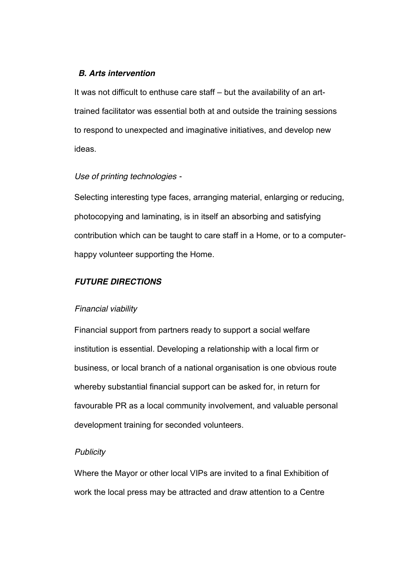## <span id="page-30-0"></span>*B. Arts intervention*

It was not difficult to enthuse care staff – but the availability of an arttrained facilitator was essential both at and outside the training sessions to respond to unexpected and imaginative initiatives, and develop new ideas.

## *Use of printing technologies -*

Selecting interesting type faces, arranging material, enlarging or reducing, photocopying and laminating, is in itself an absorbing and satisfying contribution which can be taught to care staff in a Home, or to a computerhappy volunteer supporting the Home.

## <span id="page-30-1"></span>*FUTURE DIRECTIONS*

#### *Financial viability*

Financial support from partners ready to support a social welfare institution is essential. Developing a relationship with a local firm or business, or local branch of a national organisation is one obvious route whereby substantial financial support can be asked for, in return for favourable PR as a local community involvement, and valuable personal development training for seconded volunteers.

#### *Publicity*

Where the Mayor or other local VIPs are invited to a final Exhibition of work the local press may be attracted and draw attention to a Centre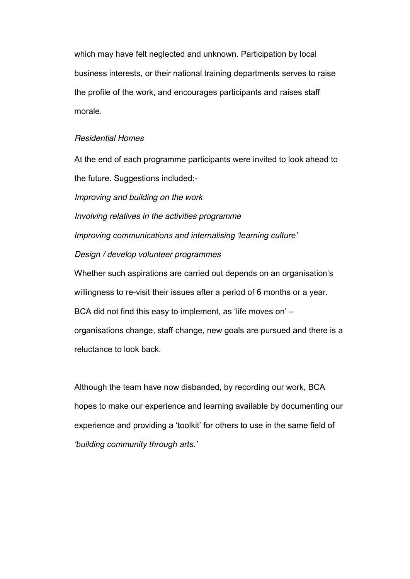which may have felt neglected and unknown. Participation by local business interests, or their national training departments serves to raise the profile of the work, and encourages participants and raises staff morale.

#### *Residential Homes*

At the end of each programme participants were invited to look ahead to the future. Suggestions included:-

*Improving and building on the work*

*Involving relatives in the activities programme*

*Improving communications and internalising 'learning culture'*

## *Design / develop volunteer programmes*

Whether such aspirations are carried out depends on an organisation's willingness to re-visit their issues after a period of 6 months or a year. BCA did not find this easy to implement, as 'life moves on' – organisations change, staff change, new goals are pursued and there is a reluctance to look back.

Although the team have now disbanded, by recording our work, BCA hopes to make our experience and learning available by documenting our experience and providing a 'toolkit' for others to use in the same field of *'building community through arts.'*